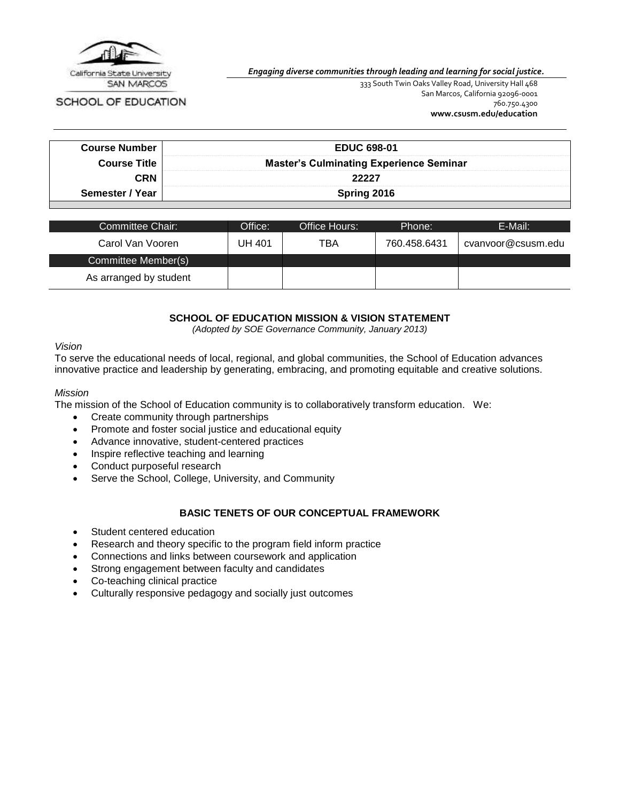

SCHOOL OF EDUCATION

*Engaging diverse communities through leading and learning for social justice.*

333 South Twin Oaks Valley Road, University Hall 468 San Marcos, California 92096-0001 760.750.4300 **[www.csusm.edu/education](http://www.csusm.edu/education)**

| <b>Course Number</b> | <b>EDUC 698-01</b>                             |  |
|----------------------|------------------------------------------------|--|
| <b>Course Title</b>  | <b>Master's Culminating Experience Seminar</b> |  |
| <b>CRN</b>           | 22227                                          |  |
| Semester / Year      | Spring 2016                                    |  |

| Committee Chair:       | Office: | Office Hours: | Phone:       | E-Mail:            |
|------------------------|---------|---------------|--------------|--------------------|
| Carol Van Vooren       | UH 401  | TBA           | 760.458.6431 | cvanvoor@csusm.edu |
| Committee Member(s)    |         |               |              |                    |
| As arranged by student |         |               |              |                    |

### **SCHOOL OF EDUCATION MISSION & VISION STATEMENT**

*(Adopted by SOE Governance Community, January 2013)*

#### *Vision*

To serve the educational needs of local, regional, and global communities, the School of Education advances innovative practice and leadership by generating, embracing, and promoting equitable and creative solutions.

#### *Mission*

The mission of the School of Education community is to collaboratively transform education. We:

- Create community through partnerships
- Promote and foster social justice and educational equity
- Advance innovative, student-centered practices
- Inspire reflective teaching and learning
- Conduct purposeful research
- Serve the School, College, University, and Community

#### **BASIC TENETS OF OUR CONCEPTUAL FRAMEWORK**

- Student centered education
- Research and theory specific to the program field inform practice
- Connections and links between coursework and application
- Strong engagement between faculty and candidates
- Co-teaching clinical practice
- Culturally responsive pedagogy and socially just outcomes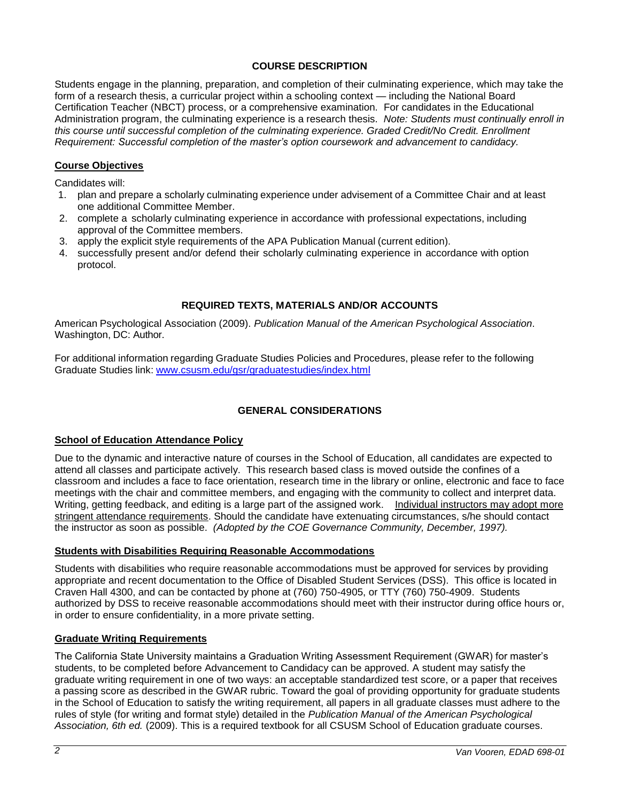# **COURSE DESCRIPTION**

Students engage in the planning, preparation, and completion of their culminating experience, which may take the form of a research thesis, a curricular project within a schooling context — including the National Board Certification Teacher (NBCT) process, or a comprehensive examination. For candidates in the Educational Administration program, the culminating experience is a research thesis. *Note: Students must continually enroll in this course until successful completion of the culminating experience. Graded Credit/No Credit. Enrollment Requirement: Successful completion of the master's option coursework and advancement to candidacy.*

# **Course Objectives**

Candidates will:

- 1. plan and prepare a scholarly culminating experience under advisement of a Committee Chair and at least one additional Committee Member.
- 2. complete a scholarly culminating experience in accordance with professional expectations, including approval of the Committee members.
- 3. apply the explicit style requirements of the APA Publication Manual (current edition).
- 4. successfully present and/or defend their scholarly culminating experience in accordance with option protocol.

# **REQUIRED TEXTS, MATERIALS AND/OR ACCOUNTS**

American Psychological Association (2009). *Publication Manual of the American Psychological Association*. Washington, DC: Author.

For additional information regarding Graduate Studies Policies and Procedures, please refer to the following Graduate Studies link: [www.csusm.edu/gsr/graduatestudies/index.html](http://www.csusm.edu/gsr/graduatestudies/index.html)

# **GENERAL CONSIDERATIONS**

### **School of Education Attendance Policy**

Due to the dynamic and interactive nature of courses in the School of Education, all candidates are expected to attend all classes and participate actively. This research based class is moved outside the confines of a classroom and includes a face to face orientation, research time in the library or online, electronic and face to face meetings with the chair and committee members, and engaging with the community to collect and interpret data. Writing, getting feedback, and editing is a large part of the assigned work. Individual instructors may adopt more stringent attendance requirements. Should the candidate have extenuating circumstances, s/he should contact the instructor as soon as possible. *(Adopted by the COE Governance Community, December, 1997).*

### **Students with Disabilities Requiring Reasonable Accommodations**

Students with disabilities who require reasonable accommodations must be approved for services by providing appropriate and recent documentation to the Office of Disabled Student Services (DSS). This office is located in Craven Hall 4300, and can be contacted by phone at (760) 750-4905, or TTY (760) 750-4909. Students authorized by DSS to receive reasonable accommodations should meet with their instructor during office hours or, in order to ensure confidentiality, in a more private setting.

### **Graduate Writing Requirements**

The California State University maintains a Graduation Writing Assessment Requirement (GWAR) for master's students, to be completed before Advancement to Candidacy can be approved. A student may satisfy the graduate writing requirement in one of two ways: an acceptable standardized test score, or a paper that receives a passing score as described in the GWAR rubric. Toward the goal of providing opportunity for graduate students in the School of Education to satisfy the writing requirement, all papers in all graduate classes must adhere to the rules of style (for writing and format style) detailed in the *Publication Manual of the American Psychological Association, 6th ed.* (2009). This is a required textbook for all CSUSM School of Education graduate courses.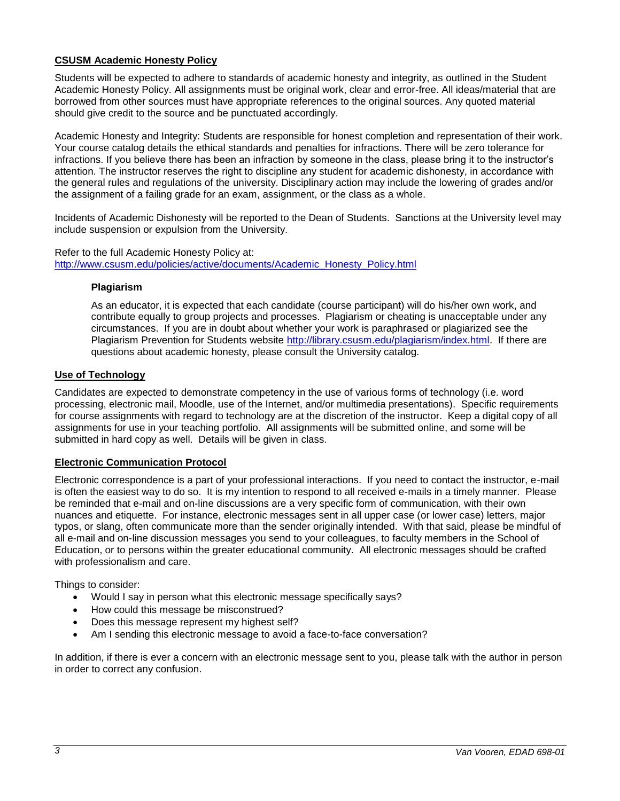### **CSUSM Academic Honesty Policy**

Students will be expected to adhere to standards of academic honesty and integrity, as outlined in the Student Academic Honesty Policy. All assignments must be original work, clear and error-free. All ideas/material that are borrowed from other sources must have appropriate references to the original sources. Any quoted material should give credit to the source and be punctuated accordingly.

Academic Honesty and Integrity: Students are responsible for honest completion and representation of their work. Your course catalog details the ethical standards and penalties for infractions. There will be zero tolerance for infractions. If you believe there has been an infraction by someone in the class, please bring it to the instructor's attention. The instructor reserves the right to discipline any student for academic dishonesty, in accordance with the general rules and regulations of the university. Disciplinary action may include the lowering of grades and/or the assignment of a failing grade for an exam, assignment, or the class as a whole.

Incidents of Academic Dishonesty will be reported to the Dean of Students. Sanctions at the University level may include suspension or expulsion from the University.

Refer to the full Academic Honesty Policy at: [http://www.csusm.edu/policies/active/documents/Academic\\_Honesty\\_Policy.html](http://www.csusm.edu/policies/active/documents/Academic_Honesty_Policy.html)

#### **Plagiarism**

As an educator, it is expected that each candidate (course participant) will do his/her own work, and contribute equally to group projects and processes. Plagiarism or cheating is unacceptable under any circumstances. If you are in doubt about whether your work is paraphrased or plagiarized see the Plagiarism Prevention for Students website [http://library.csusm.edu/plagiarism/index.html.](http://library.csusm.edu/plagiarism/index.html) If there are questions about academic honesty, please consult the University catalog.

#### **Use of Technology**

Candidates are expected to demonstrate competency in the use of various forms of technology (i.e. word processing, electronic mail, Moodle, use of the Internet, and/or multimedia presentations). Specific requirements for course assignments with regard to technology are at the discretion of the instructor. Keep a digital copy of all assignments for use in your teaching portfolio. All assignments will be submitted online, and some will be submitted in hard copy as well. Details will be given in class.

#### **Electronic Communication Protocol**

Electronic correspondence is a part of your professional interactions. If you need to contact the instructor, e-mail is often the easiest way to do so. It is my intention to respond to all received e-mails in a timely manner. Please be reminded that e-mail and on-line discussions are a very specific form of communication, with their own nuances and etiquette. For instance, electronic messages sent in all upper case (or lower case) letters, major typos, or slang, often communicate more than the sender originally intended. With that said, please be mindful of all e-mail and on-line discussion messages you send to your colleagues, to faculty members in the School of Education, or to persons within the greater educational community. All electronic messages should be crafted with professionalism and care.

Things to consider:

- Would I say in person what this electronic message specifically says?
- How could this message be misconstrued?
- Does this message represent my highest self?
- Am I sending this electronic message to avoid a face-to-face conversation?

In addition, if there is ever a concern with an electronic message sent to you, please talk with the author in person in order to correct any confusion.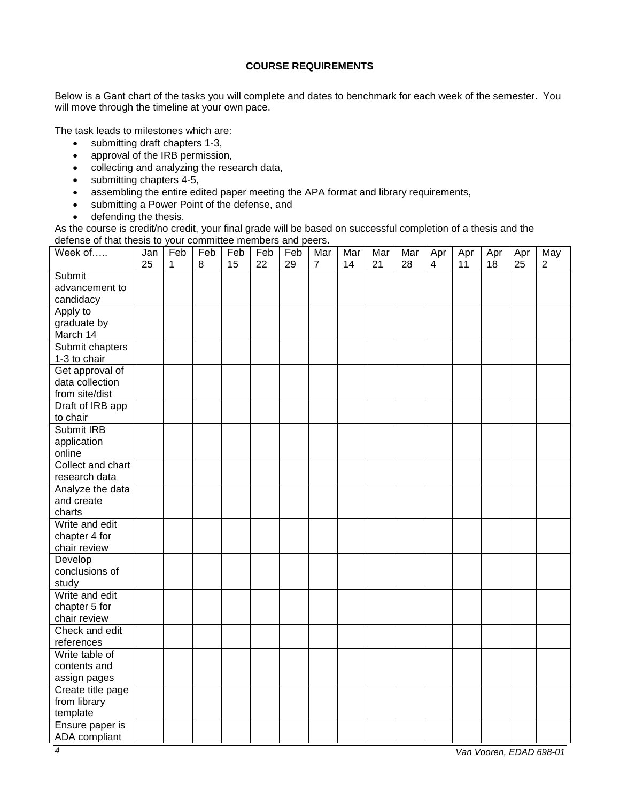### **COURSE REQUIREMENTS**

Below is a Gant chart of the tasks you will complete and dates to benchmark for each week of the semester. You will move through the timeline at your own pace.

The task leads to milestones which are:

- submitting draft chapters 1-3,
- approval of the IRB permission,
- collecting and analyzing the research data,
- submitting chapters 4-5,
- assembling the entire edited paper meeting the APA format and library requirements,
- submitting a Power Point of the defense, and
- defending the thesis.

As the course is credit/no credit, your final grade will be based on successful completion of a thesis and the defense of that thesis to your committee members and peers.

| Week of           | Jan<br>25 | Feb<br>1 | Feb<br>8 | Feb<br>15 | Feb<br>22 | Feb<br>29 | Mar<br>$\overline{7}$ | Mar<br>14 | Mar<br>21 | Mar<br>28 | Apr<br>4 | Apr<br>11 | Apr<br>18 | Apr<br>25 | May<br>$\overline{2}$ |
|-------------------|-----------|----------|----------|-----------|-----------|-----------|-----------------------|-----------|-----------|-----------|----------|-----------|-----------|-----------|-----------------------|
| Submit            |           |          |          |           |           |           |                       |           |           |           |          |           |           |           |                       |
| advancement to    |           |          |          |           |           |           |                       |           |           |           |          |           |           |           |                       |
| candidacy         |           |          |          |           |           |           |                       |           |           |           |          |           |           |           |                       |
| Apply to          |           |          |          |           |           |           |                       |           |           |           |          |           |           |           |                       |
| graduate by       |           |          |          |           |           |           |                       |           |           |           |          |           |           |           |                       |
| March 14          |           |          |          |           |           |           |                       |           |           |           |          |           |           |           |                       |
| Submit chapters   |           |          |          |           |           |           |                       |           |           |           |          |           |           |           |                       |
| 1-3 to chair      |           |          |          |           |           |           |                       |           |           |           |          |           |           |           |                       |
| Get approval of   |           |          |          |           |           |           |                       |           |           |           |          |           |           |           |                       |
| data collection   |           |          |          |           |           |           |                       |           |           |           |          |           |           |           |                       |
| from site/dist    |           |          |          |           |           |           |                       |           |           |           |          |           |           |           |                       |
|                   |           |          |          |           |           |           |                       |           |           |           |          |           |           |           |                       |
| Draft of IRB app  |           |          |          |           |           |           |                       |           |           |           |          |           |           |           |                       |
| to chair          |           |          |          |           |           |           |                       |           |           |           |          |           |           |           |                       |
| Submit IRB        |           |          |          |           |           |           |                       |           |           |           |          |           |           |           |                       |
| application       |           |          |          |           |           |           |                       |           |           |           |          |           |           |           |                       |
| online            |           |          |          |           |           |           |                       |           |           |           |          |           |           |           |                       |
| Collect and chart |           |          |          |           |           |           |                       |           |           |           |          |           |           |           |                       |
| research data     |           |          |          |           |           |           |                       |           |           |           |          |           |           |           |                       |
| Analyze the data  |           |          |          |           |           |           |                       |           |           |           |          |           |           |           |                       |
| and create        |           |          |          |           |           |           |                       |           |           |           |          |           |           |           |                       |
| charts            |           |          |          |           |           |           |                       |           |           |           |          |           |           |           |                       |
| Write and edit    |           |          |          |           |           |           |                       |           |           |           |          |           |           |           |                       |
| chapter 4 for     |           |          |          |           |           |           |                       |           |           |           |          |           |           |           |                       |
| chair review      |           |          |          |           |           |           |                       |           |           |           |          |           |           |           |                       |
| Develop           |           |          |          |           |           |           |                       |           |           |           |          |           |           |           |                       |
| conclusions of    |           |          |          |           |           |           |                       |           |           |           |          |           |           |           |                       |
| study             |           |          |          |           |           |           |                       |           |           |           |          |           |           |           |                       |
| Write and edit    |           |          |          |           |           |           |                       |           |           |           |          |           |           |           |                       |
| chapter 5 for     |           |          |          |           |           |           |                       |           |           |           |          |           |           |           |                       |
| chair review      |           |          |          |           |           |           |                       |           |           |           |          |           |           |           |                       |
| Check and edit    |           |          |          |           |           |           |                       |           |           |           |          |           |           |           |                       |
| references        |           |          |          |           |           |           |                       |           |           |           |          |           |           |           |                       |
| Write table of    |           |          |          |           |           |           |                       |           |           |           |          |           |           |           |                       |
| contents and      |           |          |          |           |           |           |                       |           |           |           |          |           |           |           |                       |
| assign pages      |           |          |          |           |           |           |                       |           |           |           |          |           |           |           |                       |
| Create title page |           |          |          |           |           |           |                       |           |           |           |          |           |           |           |                       |
| from library      |           |          |          |           |           |           |                       |           |           |           |          |           |           |           |                       |
| template          |           |          |          |           |           |           |                       |           |           |           |          |           |           |           |                       |
| Ensure paper is   |           |          |          |           |           |           |                       |           |           |           |          |           |           |           |                       |
| ADA compliant     |           |          |          |           |           |           |                       |           |           |           |          |           |           |           |                       |